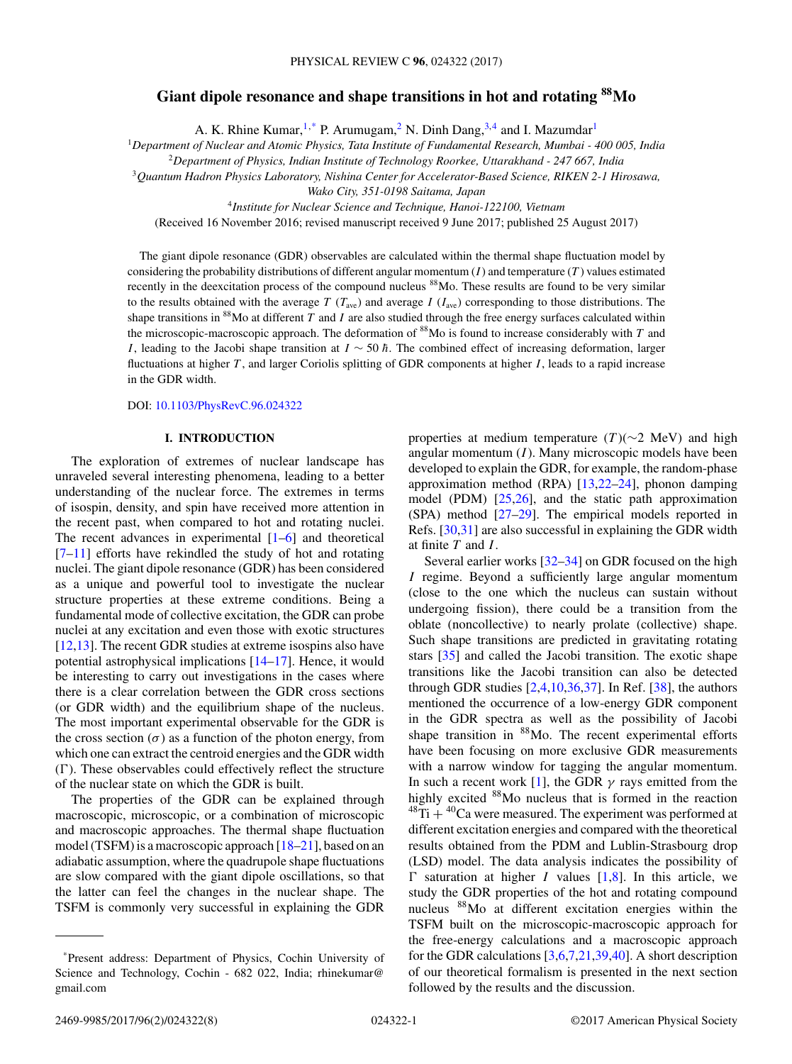# **Giant dipole resonance and shape transitions in hot and rotating 88Mo**

A. K. Rhine Kumar,  $1$ ,\* P. Arumugam,<sup>2</sup> N. Dinh Dang,<sup>3,4</sup> and I. Mazumdar<sup>1</sup>

<sup>1</sup>*Department of Nuclear and Atomic Physics, Tata Institute of Fundamental Research, Mumbai - 400 005, India*

<sup>2</sup>*Department of Physics, Indian Institute of Technology Roorkee, Uttarakhand - 247 667, India*

<sup>3</sup>*Quantum Hadron Physics Laboratory, Nishina Center for Accelerator-Based Science, RIKEN 2-1 Hirosawa,*

*Wako City, 351-0198 Saitama, Japan*

<sup>4</sup>*Institute for Nuclear Science and Technique, Hanoi-122100, Vietnam*

(Received 16 November 2016; revised manuscript received 9 June 2017; published 25 August 2017)

The giant dipole resonance (GDR) observables are calculated within the thermal shape fluctuation model by considering the probability distributions of different angular momentum  $(I)$  and temperature  $(T)$  values estimated recently in the deexcitation process of the compound nucleus <sup>88</sup>Mo. These results are found to be very similar to the results obtained with the average T ( $T_{ave}$ ) and average I ( $I_{ave}$ ) corresponding to those distributions. The shape transitions in  $88$ Mo at different T and I are also studied through the free energy surfaces calculated within the microscopic-macroscopic approach. The deformation of  $88$ Mo is found to increase considerably with T and I, leading to the Jacobi shape transition at  $I \sim 50 \hbar$ . The combined effect of increasing deformation, larger fluctuations at higher  $T$ , and larger Coriolis splitting of GDR components at higher  $I$ , leads to a rapid increase in the GDR width.

DOI: [10.1103/PhysRevC.96.024322](https://doi.org/10.1103/PhysRevC.96.024322)

#### **I. INTRODUCTION**

The exploration of extremes of nuclear landscape has unraveled several interesting phenomena, leading to a better understanding of the nuclear force. The extremes in terms of isospin, density, and spin have received more attention in the recent past, when compared to hot and rotating nuclei. The recent advances in experimental  $[1-6]$  and theoretical  $[7-11]$  efforts have rekindled the study of hot and rotating nuclei. The giant dipole resonance (GDR) has been considered as a unique and powerful tool to investigate the nuclear structure properties at these extreme conditions. Being a fundamental mode of collective excitation, the GDR can probe nuclei at any excitation and even those with exotic structures [\[12,13\]](#page-6-0). The recent GDR studies at extreme isospins also have potential astrophysical implications [\[14](#page-6-0)[–17\]](#page-7-0). Hence, it would be interesting to carry out investigations in the cases where there is a clear correlation between the GDR cross sections (or GDR width) and the equilibrium shape of the nucleus. The most important experimental observable for the GDR is the cross section  $(\sigma)$  as a function of the photon energy, from which one can extract the centroid energies and the GDR width  $(\Gamma)$ . These observables could effectively reflect the structure of the nuclear state on which the GDR is built.

The properties of the GDR can be explained through macroscopic, microscopic, or a combination of microscopic and macroscopic approaches. The thermal shape fluctuation model (TSFM) is a macroscopic approach  $[18-21]$ , based on an adiabatic assumption, where the quadrupole shape fluctuations are slow compared with the giant dipole oscillations, so that the latter can feel the changes in the nuclear shape. The TSFM is commonly very successful in explaining the GDR properties at medium temperature (T)( $\sim$ 2 MeV) and high angular momentum  $(I)$ . Many microscopic models have been developed to explain the GDR, for example, the random-phase approximation method (RPA)  $[13,22-24]$  $[13,22-24]$ , phonon damping model (PDM) [\[25,26\]](#page-7-0), and the static path approximation (SPA) method [\[27–29\]](#page-7-0). The empirical models reported in Refs. [\[30,31\]](#page-7-0) are also successful in explaining the GDR width at finite  $T$  and  $I$ .

Several earlier works  $\left[32 - 34\right]$  on GDR focused on the high I regime. Beyond a sufficiently large angular momentum (close to the one which the nucleus can sustain without undergoing fission), there could be a transition from the oblate (noncollective) to nearly prolate (collective) shape. Such shape transitions are predicted in gravitating rotating stars [\[35\]](#page-7-0) and called the Jacobi transition. The exotic shape transitions like the Jacobi transition can also be detected through GDR studies  $[2,4,10,36,37]$  $[2,4,10,36,37]$ . In Ref.  $[38]$ , the authors mentioned the occurrence of a low-energy GDR component in the GDR spectra as well as the possibility of Jacobi shape transition in <sup>88</sup>Mo. The recent experimental efforts have been focusing on more exclusive GDR measurements with a narrow window for tagging the angular momentum. In such a recent work [\[1\]](#page-6-0), the GDR  $\gamma$  rays emitted from the highly excited 88Mo nucleus that is formed in the reaction  $^{48}$ Ti +  $^{40}$ Ca were measured. The experiment was performed at different excitation energies and compared with the theoretical results obtained from the PDM and Lublin-Strasbourg drop (LSD) model. The data analysis indicates the possibility of  $\Gamma$  saturation at higher I values [\[1,8\]](#page-6-0). In this article, we study the GDR properties of the hot and rotating compound nucleus 88Mo at different excitation energies within the TSFM built on the microscopic-macroscopic approach for the free-energy calculations and a macroscopic approach for the GDR calculations [\[3,6,7](#page-6-0)[,21,39,40\]](#page-7-0). A short description of our theoretical formalism is presented in the next section followed by the results and the discussion.

<sup>\*</sup>Present address: Department of Physics, Cochin University of Science and Technology, Cochin - 682 022, India; rhinekumar@ gmail.com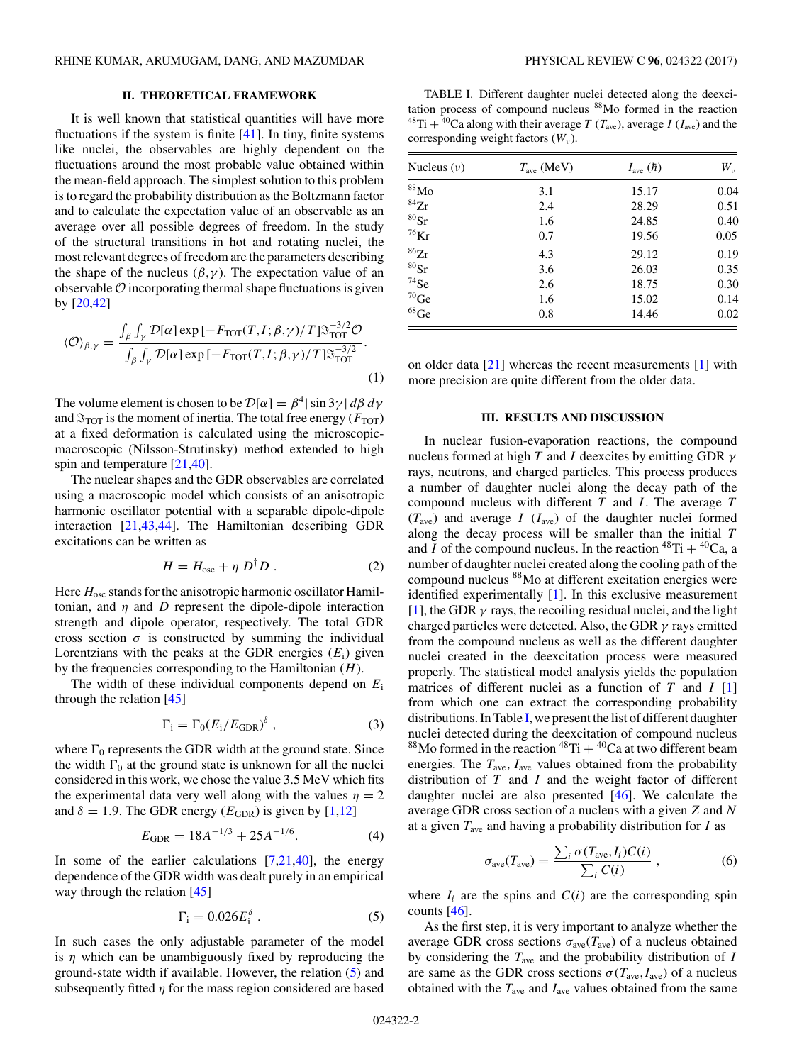## **II. THEORETICAL FRAMEWORK**

<span id="page-1-0"></span>It is well known that statistical quantities will have more fluctuations if the system is finite  $[41]$ . In tiny, finite systems like nuclei, the observables are highly dependent on the fluctuations around the most probable value obtained within the mean-field approach. The simplest solution to this problem is to regard the probability distribution as the Boltzmann factor and to calculate the expectation value of an observable as an average over all possible degrees of freedom. In the study of the structural transitions in hot and rotating nuclei, the most relevant degrees of freedom are the parameters describing the shape of the nucleus  $(\beta, \gamma)$ . The expectation value of an observable  $O$  incorporating thermal shape fluctuations is given by [\[20,42\]](#page-7-0)

$$
\langle \mathcal{O} \rangle_{\beta,\gamma} = \frac{\int_{\beta} \int_{\gamma} \mathcal{D}[\alpha] \exp \left[ -F_{\text{TOT}}(T, I; \beta, \gamma) / T \right] \mathfrak{F}_{\text{TOT}}^{-3/2} \mathcal{O}}{\int_{\beta} \int_{\gamma} \mathcal{D}[\alpha] \exp \left[ -F_{\text{TOT}}(T, I; \beta, \gamma) / T \right] \mathfrak{F}_{\text{TOT}}^{-3/2}}.
$$
\n(1)

The volume element is chosen to be  $\mathcal{D}[\alpha] = \beta^4 |\sin 3\gamma| d\beta d\gamma$ and  $\mathfrak{I}_{\text{TOT}}$  is the moment of inertia. The total free energy ( $F_{\text{TOT}}$ ) at a fixed deformation is calculated using the microscopicmacroscopic (Nilsson-Strutinsky) method extended to high spin and temperature [\[21,40\]](#page-7-0).

The nuclear shapes and the GDR observables are correlated using a macroscopic model which consists of an anisotropic harmonic oscillator potential with a separable dipole-dipole interaction [\[21,43,44\]](#page-7-0). The Hamiltonian describing GDR excitations can be written as

$$
H = H_{\text{osc}} + \eta D^{\dagger} D. \qquad (2)
$$

Here  $H_{osc}$  stands for the anisotropic harmonic oscillator Hamiltonian, and  $\eta$  and  $D$  represent the dipole-dipole interaction strength and dipole operator, respectively. The total GDR cross section  $\sigma$  is constructed by summing the individual Lorentzians with the peaks at the GDR energies  $(E_i)$  given by the frequencies corresponding to the Hamiltonian  $(H)$ .

The width of these individual components depend on  $E_i$ through the relation  $[45]$ 

$$
\Gamma_{\rm i} = \Gamma_0 (E_{\rm i}/E_{\rm GDR})^{\delta} \tag{3}
$$

where  $\Gamma_0$  represents the GDR width at the ground state. Since the width  $\Gamma_0$  at the ground state is unknown for all the nuclei considered in this work, we chose the value 3.5 MeV which fits the experimental data very well along with the values  $\eta = 2$ and  $\delta = 1.9$ . The GDR energy ( $E_{GDR}$ ) is given by [\[1,12\]](#page-6-0)

$$
E_{\rm GDR} = 18A^{-1/3} + 25A^{-1/6}.
$$
 (4)

In some of the earlier calculations  $[7,21,40]$  $[7,21,40]$ , the energy dependence of the GDR width was dealt purely in an empirical way through the relation [\[45\]](#page-7-0)

$$
\Gamma_{\rm i} = 0.026 E_{\rm i}^{\delta} \ . \tag{5}
$$

In such cases the only adjustable parameter of the model is  $\eta$  which can be unambiguously fixed by reproducing the ground-state width if available. However, the relation (5) and subsequently fitted  $\eta$  for the mass region considered are based

TABLE I. Different daughter nuclei detected along the deexcitation process of compound nucleus 88Mo formed in the reaction <sup>48</sup>Ti + <sup>40</sup>Ca along with their average T ( $T_{\text{ave}}$ ), average I ( $I_{\text{ave}}$ ) and the corresponding weight factors  $(W_v)$ .

| Nucleus $(v)$        | $T_{\text{ave}}$ (MeV) | $I_{\text{ave}}(\hbar)$ | $W_{\nu}$ |
|----------------------|------------------------|-------------------------|-----------|
| 88M <sub>0</sub>     | 3.1                    | 15.17                   | 0.04      |
| ${}^{84}Zr$          | 2.4                    | 28.29                   | 0.51      |
| ${}^{80}\mathrm{Sr}$ | 1.6                    | 24.85                   | 0.40      |
| ${}^{76}\mathrm{Kr}$ | 0.7                    | 19.56                   | 0.05      |
| ${}^{86}Zr$          | 4.3                    | 29.12                   | 0.19      |
| ${}^{80}\mathrm{Sr}$ | 3.6                    | 26.03                   | 0.35      |
| $^{74}$ Se           | 2.6                    | 18.75                   | 0.30      |
| $^{70}\mathrm{Ge}$   | 1.6                    | 15.02                   | 0.14      |
| $^{68} \rm{Ge}$      | 0.8                    | 14.46                   | 0.02      |

on older data [\[21\]](#page-7-0) whereas the recent measurements [\[1\]](#page-6-0) with more precision are quite different from the older data.

#### **III. RESULTS AND DISCUSSION**

In nuclear fusion-evaporation reactions, the compound nucleus formed at high T and I deexcites by emitting GDR  $\gamma$ rays, neutrons, and charged particles. This process produces a number of daughter nuclei along the decay path of the compound nucleus with different  $T$  and  $I$ . The average  $T$  $(T<sub>ave</sub>)$  and average I ( $I<sub>ave</sub>$ ) of the daughter nuclei formed along the decay process will be smaller than the initial  $T$ and I of the compound nucleus. In the reaction  ${}^{48}Ti + {}^{40}Ca$ , a number of daughter nuclei created along the cooling path of the compound nucleus 88Mo at different excitation energies were identified experimentally [\[1\]](#page-6-0). In this exclusive measurement [\[1\]](#page-6-0), the GDR  $\gamma$  rays, the recoiling residual nuclei, and the light charged particles were detected. Also, the GDR  $\gamma$  rays emitted from the compound nucleus as well as the different daughter nuclei created in the deexcitation process were measured properly. The statistical model analysis yields the population matrices of different nuclei as a function of  $T$  and  $I$  [\[1\]](#page-6-0) from which one can extract the corresponding probability distributions. In Table I, we present the list of different daughter nuclei detected during the deexcitation of compound nucleus 88Mo formed in the reaction  $48\text{Ti} + {40\text{Ca}}$  at two different beam energies. The  $T_{\text{ave}}$ ,  $I_{\text{ave}}$  values obtained from the probability distribution of  $T$  and  $I$  and the weight factor of different daughter nuclei are also presented [\[46\]](#page-7-0). We calculate the average GDR cross section of a nucleus with a given Z and N at a given  $T_{\text{ave}}$  and having a probability distribution for  $I$  as

$$
\sigma_{\text{ave}}(T_{\text{ave}}) = \frac{\sum_{i} \sigma(T_{\text{ave}}, I_i) C(i)}{\sum_{i} C(i)} , \qquad (6)
$$

where  $I_i$  are the spins and  $C(i)$  are the corresponding spin counts  $[46]$ .

As the first step, it is very important to analyze whether the average GDR cross sections  $\sigma_{ave}(T_{ave})$  of a nucleus obtained by considering the  $T_{\text{ave}}$  and the probability distribution of  $I$ are same as the GDR cross sections  $\sigma(T_{\text{ave}}, I_{\text{ave}})$  of a nucleus obtained with the  $T_{\text{ave}}$  and  $I_{\text{ave}}$  values obtained from the same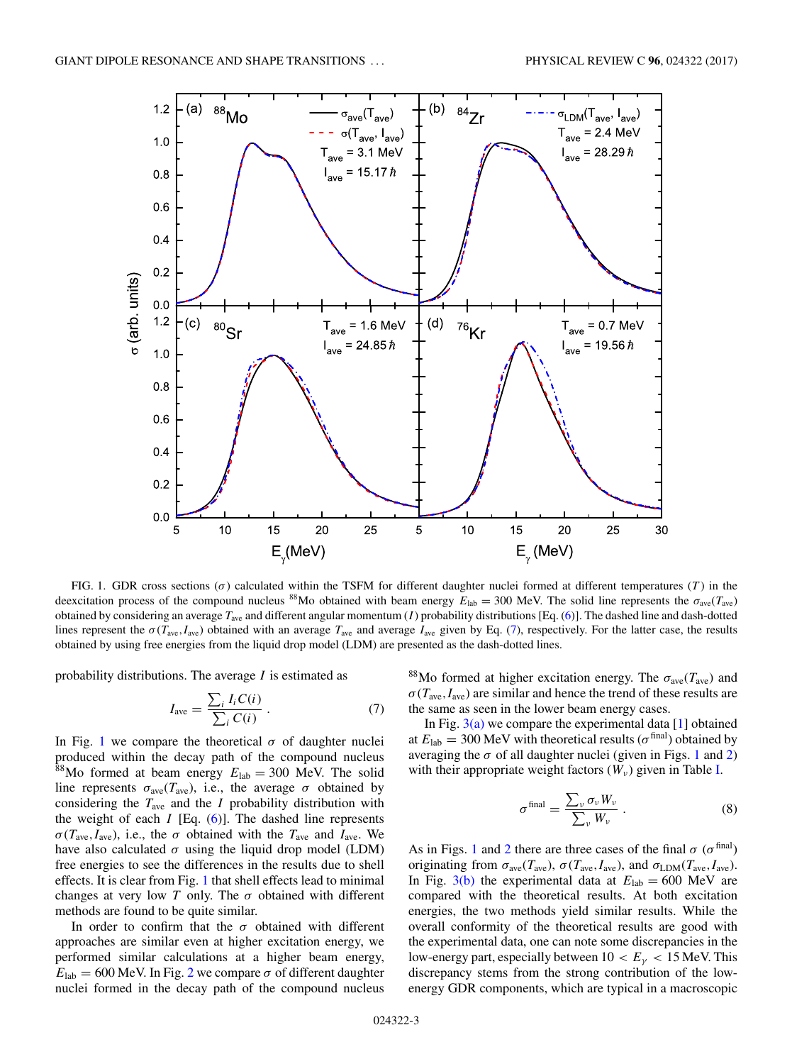<span id="page-2-0"></span>

FIG. 1. GDR cross sections  $(\sigma)$  calculated within the TSFM for different daughter nuclei formed at different temperatures (T) in the deexcitation process of the compound nucleus <sup>88</sup>Mo obtained with beam energy  $E_{\text{lab}} = 300$  MeV. The solid line represents the  $\sigma_{\text{ave}}(T_{\text{ave}})$ obtained by considering an average  $T_{\text{ave}}$  and different angular momentum (*I*) probability distributions [Eq. [\(6\)](#page-1-0)]. The dashed line and dash-dotted lines represent the  $\sigma(T_{ave}, I_{ave})$  obtained with an average  $T_{ave}$  and average  $I_{ave}$  given by Eq. (7), respectively. For the latter case, the results obtained by using free energies from the liquid drop model (LDM) are presented as the dash-dotted lines.

probability distributions. The average  $I$  is estimated as

$$
I_{\text{ave}} = \frac{\sum_{i} I_{i} C(i)}{\sum_{i} C(i)} \,. \tag{7}
$$

In Fig. 1 we compare the theoretical  $\sigma$  of daughter nuclei produced within the decay path of the compound nucleus <sup>88</sup>Mo formed at beam energy  $E_{\text{lab}} = 300$  MeV. The solid line represents  $\sigma_{ave}(T_{ave})$ , i.e., the average  $\sigma$  obtained by considering the  $T_{\text{ave}}$  and the I probability distribution with the weight of each  $I$  [Eq. [\(6\)](#page-1-0)]. The dashed line represents  $\sigma(T_{\text{ave}},I_{\text{ave}})$ , i.e., the  $\sigma$  obtained with the  $T_{\text{ave}}$  and  $I_{\text{ave}}$ . We have also calculated  $\sigma$  using the liquid drop model (LDM) free energies to see the differences in the results due to shell effects. It is clear from Fig. 1 that shell effects lead to minimal changes at very low T only. The  $\sigma$  obtained with different methods are found to be quite similar.

In order to confirm that the  $\sigma$  obtained with different approaches are similar even at higher excitation energy, we performed similar calculations at a higher beam energy,  $E_{\text{lab}} = 600 \text{ MeV}$ . In Fig. [2](#page-3-0) we compare  $\sigma$  of different daughter nuclei formed in the decay path of the compound nucleus

<sup>88</sup>Mo formed at higher excitation energy. The  $\sigma_{ave}(T_{ave})$  and  $\sigma(T_{\text{ave}}, I_{\text{ave}})$  are similar and hence the trend of these results are the same as seen in the lower beam energy cases.

In Fig.  $3(a)$  we compare the experimental data [\[1\]](#page-6-0) obtained at  $E_{\text{lab}} = 300 \text{ MeV}$  with theoretical results ( $\sigma^{\text{final}}$ ) obtained by averaging the  $\sigma$  of all daughter nuclei (given in Figs. 1 and [2\)](#page-3-0) with their appropriate weight factors  $(W_v)$  given in Table [I.](#page-1-0)

$$
\sigma^{\text{final}} = \frac{\sum_{\nu} \sigma_{\nu} W_{\nu}}{\sum_{\nu} W_{\nu}} \ . \tag{8}
$$

As in Figs. 1 and [2](#page-3-0) there are three cases of the final  $\sigma$  ( $\sigma$ <sup>final</sup>) originating from  $\sigma_{ave}(T_{ave})$ ,  $\sigma(T_{ave}, I_{ave})$ , and  $\sigma_{LDM}(T_{ave}, I_{ave})$ . In Fig. [3\(b\)](#page-4-0) the experimental data at  $E_{\text{lab}} = 600 \text{ MeV}$  are compared with the theoretical results. At both excitation energies, the two methods yield similar results. While the overall conformity of the theoretical results are good with the experimental data, one can note some discrepancies in the low-energy part, especially between  $10 < E<sub>\gamma</sub> < 15$  MeV. This discrepancy stems from the strong contribution of the lowenergy GDR components, which are typical in a macroscopic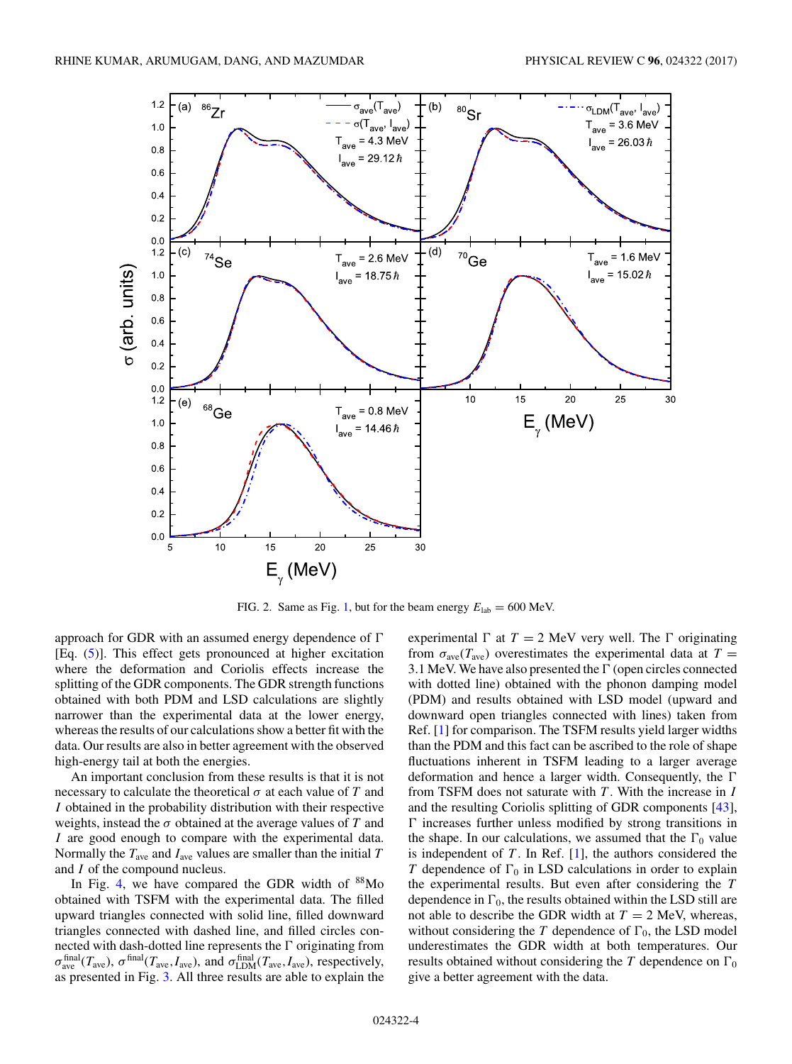<span id="page-3-0"></span>

FIG. 2. Same as Fig. [1,](#page-2-0) but for the beam energy  $E_{lab} = 600$  MeV.

approach for GDR with an assumed energy dependence of  $\Gamma$ [Eq. [\(5\)](#page-1-0)]. This effect gets pronounced at higher excitation where the deformation and Coriolis effects increase the splitting of the GDR components. The GDR strength functions obtained with both PDM and LSD calculations are slightly narrower than the experimental data at the lower energy, whereas the results of our calculations show a better fit with the data. Our results are also in better agreement with the observed high-energy tail at both the energies.

An important conclusion from these results is that it is not necessary to calculate the theoretical  $\sigma$  at each value of T and I obtained in the probability distribution with their respective weights, instead the  $\sigma$  obtained at the average values of T and I are good enough to compare with the experimental data. Normally the  $T_{\text{ave}}$  and  $I_{\text{ave}}$  values are smaller than the initial T and I of the compound nucleus.

In Fig. [4,](#page-4-0) we have compared the GDR width of  $88$ Mo obtained with TSFM with the experimental data. The filled upward triangles connected with solid line, filled downward triangles connected with dashed line, and filled circles connected with dash-dotted line represents the  $\Gamma$  originating from  $\sigma_{\rm ave}^{\rm final}(T_{\rm ave})$ ,  $\sigma^{\rm final}(T_{\rm ave},I_{\rm ave})$ , and  $\sigma_{\rm LDM}^{\rm final}(T_{\rm ave},I_{\rm ave})$ , respectively, as presented in Fig. [3.](#page-4-0) All three results are able to explain the

experimental  $\Gamma$  at  $T = 2$  MeV very well. The  $\Gamma$  originating from  $\sigma_{\text{ave}}(T_{\text{ave}})$  overestimates the experimental data at  $T =$ 3.1 MeV. We have also presented the  $\Gamma$  (open circles connected with dotted line) obtained with the phonon damping model (PDM) and results obtained with LSD model (upward and downward open triangles connected with lines) taken from Ref. [\[1\]](#page-6-0) for comparison. The TSFM results yield larger widths than the PDM and this fact can be ascribed to the role of shape fluctuations inherent in TSFM leading to a larger average deformation and hence a larger width. Consequently, the  $\Gamma$ from TSFM does not saturate with  $T$ . With the increase in  $I$ and the resulting Coriolis splitting of GDR components [\[43\]](#page-7-0),  $\Gamma$  increases further unless modified by strong transitions in the shape. In our calculations, we assumed that the  $\Gamma_0$  value is independent of  $T$ . In Ref. [\[1\]](#page-6-0), the authors considered the T dependence of  $\Gamma_0$  in LSD calculations in order to explain the experimental results. But even after considering the T dependence in  $\Gamma_0$ , the results obtained within the LSD still are not able to describe the GDR width at  $T = 2$  MeV, whereas, without considering the  $T$  dependence of  $\Gamma_0$ , the LSD model underestimates the GDR width at both temperatures. Our results obtained without considering the T dependence on  $\Gamma_0$ give a better agreement with the data.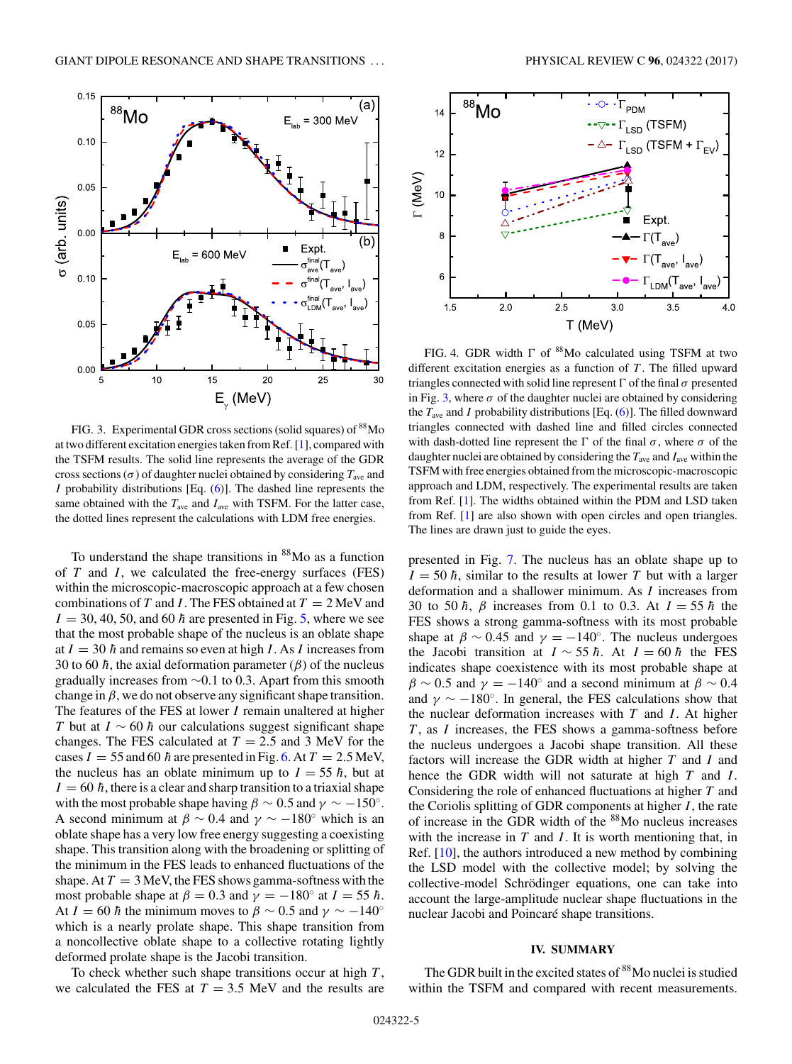$E_{\text{lab}}$  = 600 MeV

(a)

 $= 300$  MeV

Expt.

 $\sigma_{\rm ave}^{\rm final}$ (T<sub>ave</sub>

™a" (T

25

30

<span id="page-4-0"></span> $0.15$ 

 $0.10$ 

 $0.05$ 

 $0.00$ 

 $0.10$ 

 $0.05$ 

 $0.00$ 

5

 $\sigma$  (arb. units)

 $88$ Mo



 $15$ 

20

 $10$ 

To understand the shape transitions in  $88$ Mo as a function of  $T$  and  $I$ , we calculated the free-energy surfaces (FES) within the microscopic-macroscopic approach at a few chosen combinations of T and I. The FES obtained at  $T = 2$  MeV and  $I = 30, 40, 50,$  and 60  $\hbar$  are presented in Fig. [5,](#page-5-0) where we see that the most probable shape of the nucleus is an oblate shape at  $I = 30 \hbar$  and remains so even at high I. As I increases from 30 to 60  $\hbar$ , the axial deformation parameter ( $\beta$ ) of the nucleus gradually increases from <sup>∼</sup>0.1 to 0.3. Apart from this smooth change in  $\beta$ , we do not observe any significant shape transition. The features of the FES at lower I remain unaltered at higher T but at  $I \sim 60 \hbar$  our calculations suggest significant shape changes. The FES calculated at  $T = 2.5$  and 3 MeV for the cases  $I = 55$  and 60  $\hbar$  are presented in Fig. [6.](#page-5-0) At  $T = 2.5$  MeV, the nucleus has an oblate minimum up to  $I = 55 \hbar$ , but at  $I = 60 \hbar$ , there is a clear and sharp transition to a triaxial shape with the most probable shape having  $\beta \sim 0.5$  and  $\gamma \sim -150^{\circ}$ . A second minimum at  $\beta \sim 0.4$  and  $\gamma \sim -180^\circ$  which is an oblate shape has a very low free energy suggesting a coexisting shape. This transition along with the broadening or splitting of the minimum in the FES leads to enhanced fluctuations of the shape. At  $T = 3$  MeV, the FES shows gamma-softness with the most probable shape at  $\beta = 0.3$  and  $\gamma = -180^\circ$  at  $I = 55 \hbar$ . At  $I = 60 \hbar$  the minimum moves to  $\beta \sim 0.5$  and  $\gamma \sim -140^{\circ}$ which is a nearly prolate shape. This shape transition from a noncollective oblate shape to a collective rotating lightly deformed prolate shape is the Jacobi transition.

To check whether such shape transitions occur at high  $T$ , we calculated the FES at  $T = 3.5$  MeV and the results are



FIG. 4. GDR width  $\Gamma$  of  $^{88}$ Mo calculated using TSFM at two different excitation energies as a function of  $T$ . The filled upward triangles connected with solid line represent  $\Gamma$  of the final  $\sigma$  presented in Fig. 3, where  $\sigma$  of the daughter nuclei are obtained by considering the  $T_{\text{ave}}$  and I probability distributions [Eq. [\(6\)](#page-1-0)]. The filled downward triangles connected with dashed line and filled circles connected with dash-dotted line represent the  $\Gamma$  of the final  $\sigma$ , where  $\sigma$  of the daughter nuclei are obtained by considering the  $T_{\text{ave}}$  and  $I_{\text{ave}}$  within the TSFM with free energies obtained from the microscopic-macroscopic approach and LDM, respectively. The experimental results are taken from Ref. [\[1\]](#page-6-0). The widths obtained within the PDM and LSD taken from Ref. [\[1\]](#page-6-0) are also shown with open circles and open triangles. The lines are drawn just to guide the eyes.

presented in Fig. [7.](#page-6-0) The nucleus has an oblate shape up to  $I = 50 \hbar$ , similar to the results at lower T but with a larger deformation and a shallower minimum. As I increases from 30 to 50  $\hbar$ ,  $\beta$  increases from 0.1 to 0.3. At  $I = 55 \hbar$  the FES shows a strong gamma-softness with its most probable shape at  $\beta \sim 0.45$  and  $\gamma = -140^\circ$ . The nucleus undergoes the Jacobi transition at  $I \sim 55 \hbar$ . At  $I = 60 \hbar$  the FES indicates shape coexistence with its most probable shape at  $\beta \sim 0.5$  and  $\gamma = -140^\circ$  and a second minimum at  $\beta \sim 0.4$ and  $\gamma \sim -180^\circ$ . In general, the FES calculations show that the nuclear deformation increases with  $T$  and  $I$ . At higher  $T$ , as  $I$  increases, the FES shows a gamma-softness before the nucleus undergoes a Jacobi shape transition. All these factors will increase the GDR width at higher  $T$  and  $I$  and hence the GDR width will not saturate at high  $T$  and  $I$ . Considering the role of enhanced fluctuations at higher T and the Coriolis splitting of GDR components at higher  $I$ , the rate of increase in the GDR width of the 88Mo nucleus increases with the increase in  $T$  and  $I$ . It is worth mentioning that, in Ref. [\[10\]](#page-6-0), the authors introduced a new method by combining the LSD model with the collective model; by solving the collective-model Schrödinger equations, one can take into account the large-amplitude nuclear shape fluctuations in the nuclear Jacobi and Poincaré shape transitions.

# **IV. SUMMARY**

The GDR built in the excited states of <sup>88</sup>Mo nuclei is studied within the TSFM and compared with recent measurements.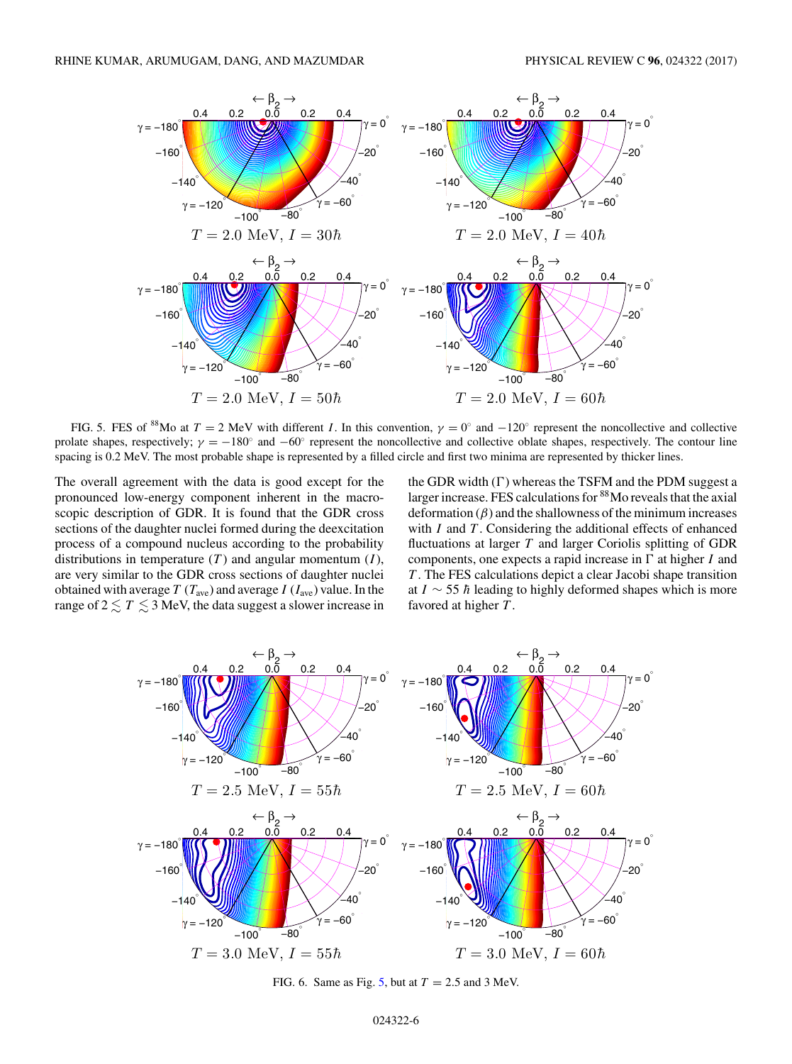<span id="page-5-0"></span>

FIG. 5. FES of <sup>88</sup>Mo at T = 2 MeV with different I. In this convention,  $\gamma = 0^\circ$  and  $-120^\circ$  represent the noncollective and collective prolate shapes, respectively;  $\gamma = -180°$  and  $-60°$  represent the noncollective and collective oblate shapes, respectively. The contour line spacing is 0.2 MeV. The most probable shape is represented by a filled circle and first two minima are represented by thicker lines.

The overall agreement with the data is good except for the pronounced low-energy component inherent in the macroscopic description of GDR. It is found that the GDR cross sections of the daughter nuclei formed during the deexcitation process of a compound nucleus according to the probability distributions in temperature  $(T)$  and angular momentum  $(I)$ , are very similar to the GDR cross sections of daughter nuclei obtained with average  $T(T_{\text{ave}})$  and average  $I(T_{\text{ave}})$  value. In the range of  $2 \lesssim T \lesssim 3$  MeV, the data suggest a slower increase in

the GDR width  $(\Gamma)$  whereas the TSFM and the PDM suggest a larger increase. FES calculations for 88Mo reveals that the axial deformation  $(\beta)$  and the shallowness of the minimum increases with  $I$  and  $T$ . Considering the additional effects of enhanced fluctuations at larger  $T$  and larger Coriolis splitting of GDR components, one expects a rapid increase in  $\Gamma$  at higher I and T . The FES calculations depict a clear Jacobi shape transition at  $I \sim$  55  $\hbar$  leading to highly deformed shapes which is more favored at higher  $T$ .



FIG. 6. Same as Fig. 5, but at  $T = 2.5$  and 3 MeV.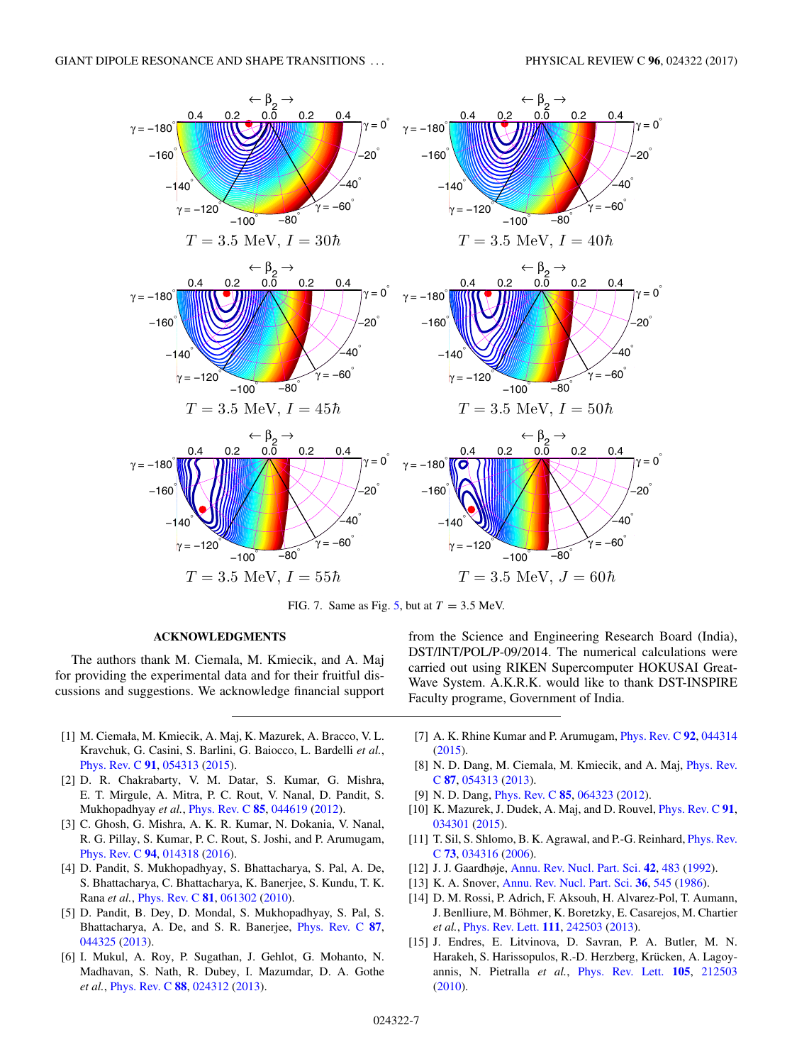<span id="page-6-0"></span>

FIG. 7. Same as Fig. [5,](#page-5-0) but at  $T = 3.5$  MeV.

## **ACKNOWLEDGMENTS**

The authors thank M. Ciemala, M. Kmiecik, and A. Maj for providing the experimental data and for their fruitful discussions and suggestions. We acknowledge financial support

- [1] M. Ciemała, M. Kmiecik, A. Maj, K. Mazurek, A. Bracco, V. L. Kravchuk, G. Casini, S. Barlini, G. Baiocco, L. Bardelli *et al.*, [Phys. Rev. C](https://doi.org/10.1103/PhysRevC.91.054313) **[91](https://doi.org/10.1103/PhysRevC.91.054313)**, [054313](https://doi.org/10.1103/PhysRevC.91.054313) [\(2015\)](https://doi.org/10.1103/PhysRevC.91.054313).
- [2] D. R. Chakrabarty, V. M. Datar, S. Kumar, G. Mishra, E. T. Mirgule, A. Mitra, P. C. Rout, V. Nanal, D. Pandit, S. Mukhopadhyay *et al.*, [Phys. Rev. C](https://doi.org/10.1103/PhysRevC.85.044619) **[85](https://doi.org/10.1103/PhysRevC.85.044619)**, [044619](https://doi.org/10.1103/PhysRevC.85.044619) [\(2012\)](https://doi.org/10.1103/PhysRevC.85.044619).
- [3] C. Ghosh, G. Mishra, A. K. R. Kumar, N. Dokania, V. Nanal, R. G. Pillay, S. Kumar, P. C. Rout, S. Joshi, and P. Arumugam, [Phys. Rev. C](https://doi.org/10.1103/PhysRevC.94.014318) **[94](https://doi.org/10.1103/PhysRevC.94.014318)**, [014318](https://doi.org/10.1103/PhysRevC.94.014318) [\(2016\)](https://doi.org/10.1103/PhysRevC.94.014318).
- [4] D. Pandit, S. Mukhopadhyay, S. Bhattacharya, S. Pal, A. De, S. Bhattacharya, C. Bhattacharya, K. Banerjee, S. Kundu, T. K. Rana *et al.*, [Phys. Rev. C](https://doi.org/10.1103/PhysRevC.81.061302) **[81](https://doi.org/10.1103/PhysRevC.81.061302)**, [061302](https://doi.org/10.1103/PhysRevC.81.061302) [\(2010\)](https://doi.org/10.1103/PhysRevC.81.061302).
- [5] D. Pandit, B. Dey, D. Mondal, S. Mukhopadhyay, S. Pal, S. Bhattacharya, A. De, and S. R. Banerjee, [Phys. Rev. C](https://doi.org/10.1103/PhysRevC.87.044325) **[87](https://doi.org/10.1103/PhysRevC.87.044325)**, [044325](https://doi.org/10.1103/PhysRevC.87.044325) [\(2013\)](https://doi.org/10.1103/PhysRevC.87.044325).
- [6] I. Mukul, A. Roy, P. Sugathan, J. Gehlot, G. Mohanto, N. Madhavan, S. Nath, R. Dubey, I. Mazumdar, D. A. Gothe *et al.*, [Phys. Rev. C](https://doi.org/10.1103/PhysRevC.88.024312) **[88](https://doi.org/10.1103/PhysRevC.88.024312)**, [024312](https://doi.org/10.1103/PhysRevC.88.024312) [\(2013\)](https://doi.org/10.1103/PhysRevC.88.024312).

from the Science and Engineering Research Board (India), DST/INT/POL/P-09/2014. The numerical calculations were carried out using RIKEN Supercomputer HOKUSAI Great-Wave System. A.K.R.K. would like to thank DST-INSPIRE Faculty programe, Government of India.

- [7] A. K. Rhine Kumar and P. Arumugam, [Phys. Rev. C](https://doi.org/10.1103/PhysRevC.92.044314) **[92](https://doi.org/10.1103/PhysRevC.92.044314)**, [044314](https://doi.org/10.1103/PhysRevC.92.044314) [\(2015\)](https://doi.org/10.1103/PhysRevC.92.044314).
- [8] [N. D. Dang, M. Ciemala, M. Kmiecik, and A. Maj,](https://doi.org/10.1103/PhysRevC.87.054313) *Phys. Rev.* C **[87](https://doi.org/10.1103/PhysRevC.87.054313)**, [054313](https://doi.org/10.1103/PhysRevC.87.054313) [\(2013\)](https://doi.org/10.1103/PhysRevC.87.054313).
- [9] N. D. Dang, [Phys. Rev. C](https://doi.org/10.1103/PhysRevC.85.064323) **[85](https://doi.org/10.1103/PhysRevC.85.064323)**, [064323](https://doi.org/10.1103/PhysRevC.85.064323) [\(2012\)](https://doi.org/10.1103/PhysRevC.85.064323).
- [10] K. Mazurek, J. Dudek, A. Maj, and D. Rouvel, [Phys. Rev. C](https://doi.org/10.1103/PhysRevC.91.034301) **[91](https://doi.org/10.1103/PhysRevC.91.034301)**, [034301](https://doi.org/10.1103/PhysRevC.91.034301) [\(2015\)](https://doi.org/10.1103/PhysRevC.91.034301).
- [11] [T. Sil, S. Shlomo, B. K. Agrawal, and P.-G. Reinhard,](https://doi.org/10.1103/PhysRevC.73.034316) *Phys. Rev.* C **[73](https://doi.org/10.1103/PhysRevC.73.034316)**, [034316](https://doi.org/10.1103/PhysRevC.73.034316) [\(2006\)](https://doi.org/10.1103/PhysRevC.73.034316).
- [12] J. J. Gaardhøje, [Annu. Rev. Nucl. Part. Sci.](https://doi.org/10.1146/annurev.ns.42.120192.002411) **[42](https://doi.org/10.1146/annurev.ns.42.120192.002411)**, [483](https://doi.org/10.1146/annurev.ns.42.120192.002411) [\(1992\)](https://doi.org/10.1146/annurev.ns.42.120192.002411).
- [13] K. A. Snover, [Annu. Rev. Nucl. Part. Sci.](https://doi.org/10.1146/annurev.ns.36.120186.002553) **[36](https://doi.org/10.1146/annurev.ns.36.120186.002553)**, [545](https://doi.org/10.1146/annurev.ns.36.120186.002553) [\(1986\)](https://doi.org/10.1146/annurev.ns.36.120186.002553).
- [14] D. M. Rossi, P. Adrich, F. Aksouh, H. Alvarez-Pol, T. Aumann, J. Benlliure, M. Böhmer, K. Boretzky, E. Casarejos, M. Chartier *et al.*, [Phys. Rev. Lett.](https://doi.org/10.1103/PhysRevLett.111.242503) **[111](https://doi.org/10.1103/PhysRevLett.111.242503)**, [242503](https://doi.org/10.1103/PhysRevLett.111.242503) [\(2013\)](https://doi.org/10.1103/PhysRevLett.111.242503).
- [15] J. Endres, E. Litvinova, D. Savran, P. A. Butler, M. N. Harakeh, S. Harissopulos, R.-D. Herzberg, Krücken, A. Lagoyannis, N. Pietralla *et al.*, [Phys. Rev. Lett.](https://doi.org/10.1103/PhysRevLett.105.212503) **[105](https://doi.org/10.1103/PhysRevLett.105.212503)**, [212503](https://doi.org/10.1103/PhysRevLett.105.212503) [\(2010\)](https://doi.org/10.1103/PhysRevLett.105.212503).